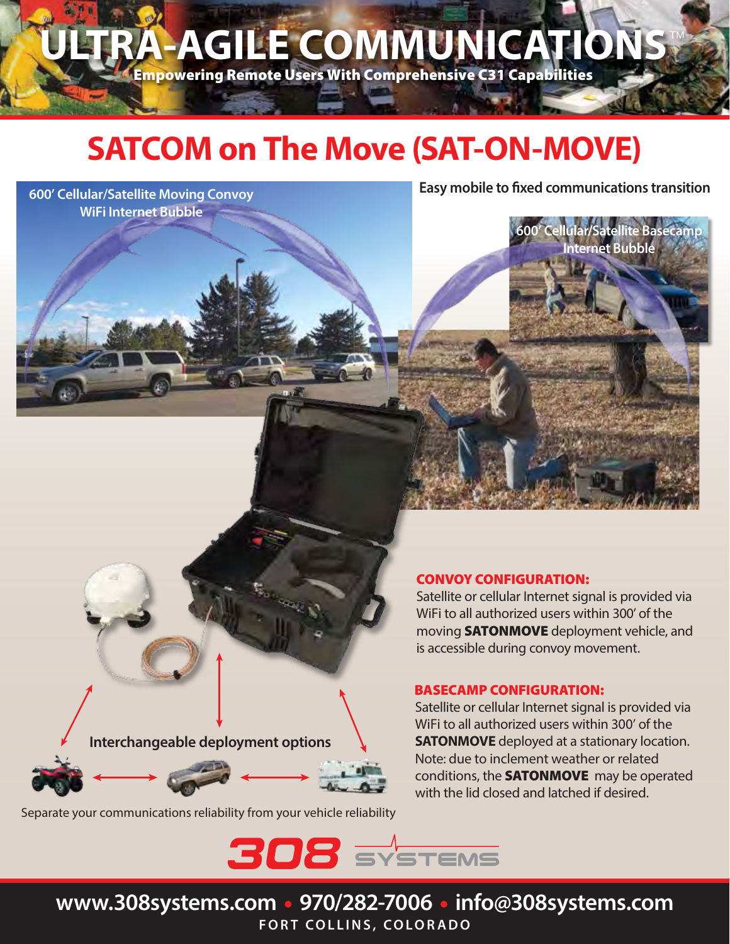ULTRA-AGILE COMMUNICATIONS

Empowering Remote Users With Comprehensive C31 Capabilities

## **SATCOM on The Move (SAT-ON-MOVE)**

### **600' Cellular/Satellite Moving Convoy WiFi Internet Bubble**

**Easy mobile to fixed communications transition** 

**600' Cellular/Satellite Basecamp Internet Bubble**

**Interchangeable deployment options**



Separate your communications reliability from your vehicle reliability

#### CONVOY CONFIGURATION:

Satellite or cellular Internet signal is provided via WiFi to all authorized users within 300' of the moving SATONMOVE deployment vehicle, and is accessible during convoy movement.

#### BASECAMP CONFIGURATION:

Satellite or cellular Internet signal is provided via WiFi to all authorized users within 300' of the **SATONMOVE** deployed at a stationary location. Note: due to inclement weather or related conditions, the **SATONMOVE** may be operated with the lid closed and latched if desired.

 $308$  SYSTEMS

**www.308systems.com • 970/282-7006 • info@308systems.com FORT COLLINS, COLORADO**